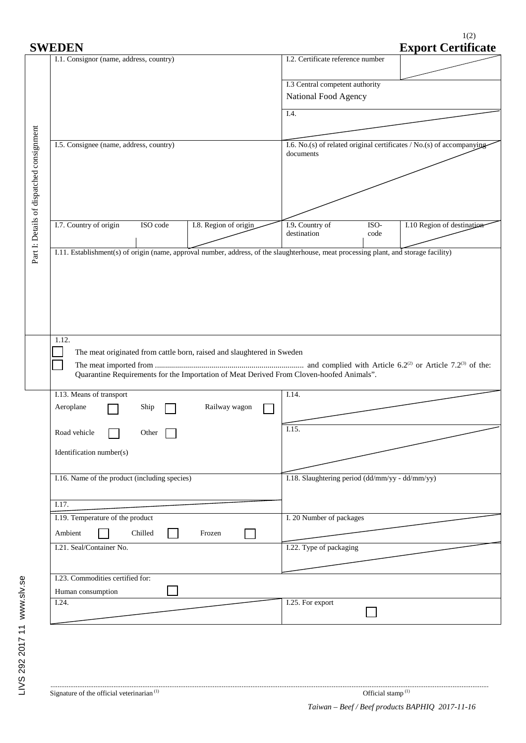| I.1. Consignor (name, address, country)       |          |                                                                                          | I.2. Certificate reference number               |                                                                         | <b>Export Certificate</b>  |  |
|-----------------------------------------------|----------|------------------------------------------------------------------------------------------|-------------------------------------------------|-------------------------------------------------------------------------|----------------------------|--|
|                                               |          |                                                                                          |                                                 |                                                                         |                            |  |
|                                               |          |                                                                                          | I.3 Central competent authority                 |                                                                         |                            |  |
|                                               |          |                                                                                          | National Food Agency                            |                                                                         |                            |  |
|                                               |          |                                                                                          | I.4.                                            |                                                                         |                            |  |
|                                               |          |                                                                                          |                                                 |                                                                         |                            |  |
|                                               |          |                                                                                          |                                                 |                                                                         |                            |  |
| I.5. Consignee (name, address, country)       |          |                                                                                          | documents                                       | I.6. No.(s) of related original certificates $/$ No.(s) of accompanying |                            |  |
|                                               |          |                                                                                          |                                                 |                                                                         |                            |  |
|                                               |          |                                                                                          |                                                 |                                                                         |                            |  |
|                                               |          |                                                                                          |                                                 |                                                                         |                            |  |
|                                               |          |                                                                                          |                                                 |                                                                         |                            |  |
|                                               |          |                                                                                          |                                                 |                                                                         |                            |  |
| I.7. Country of origin                        | ISO code | I.8. Region of origin                                                                    | I.9. Country of<br>destination                  | ISO-<br>code                                                            | I.10 Region of destination |  |
|                                               |          |                                                                                          |                                                 |                                                                         |                            |  |
|                                               |          |                                                                                          |                                                 |                                                                         |                            |  |
|                                               |          |                                                                                          |                                                 |                                                                         |                            |  |
|                                               |          |                                                                                          |                                                 |                                                                         |                            |  |
| 1.12.                                         |          |                                                                                          |                                                 |                                                                         |                            |  |
|                                               |          | The meat originated from cattle born, raised and slaughtered in Sweden                   |                                                 |                                                                         |                            |  |
|                                               |          | Quarantine Requirements for the Importation of Meat Derived From Cloven-hoofed Animals". |                                                 |                                                                         |                            |  |
|                                               |          |                                                                                          |                                                 |                                                                         |                            |  |
| I.13. Means of transport                      |          |                                                                                          | I.14.                                           |                                                                         |                            |  |
| Aeroplane                                     | Ship     | Railway wagon                                                                            |                                                 |                                                                         |                            |  |
|                                               |          |                                                                                          | $\overline{1.15}$ .                             |                                                                         |                            |  |
| Road vehicle                                  | Other    |                                                                                          |                                                 |                                                                         |                            |  |
| Identification number(s)                      |          |                                                                                          |                                                 |                                                                         |                            |  |
|                                               |          |                                                                                          |                                                 |                                                                         |                            |  |
| I.16. Name of the product (including species) |          |                                                                                          | I.18. Slaughtering period (dd/mm/yy - dd/mm/yy) |                                                                         |                            |  |

I.21. Seal/Container No. **I.22.** Type of packaging

П

I.24. I.25. For export

Г

I.19. Temperature of the product

I.23. Commodities certified for:

Human consumption

Ambient Chilled Frozen

 $\Box$ 

I. 20 Number of packages

1(2) **SOCORTE:** Certificate